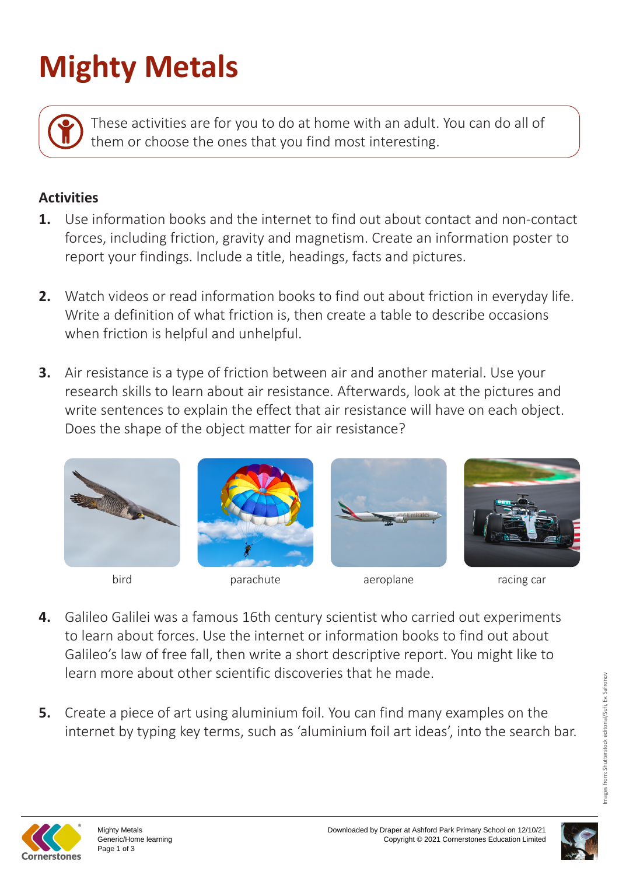## **Mighty Metals**

These activities are for you to do at home with an adult. You can do all of them or choose the ones that you find most interesting.

## **Activities**

- **1.** Use information books and the internet to find out about contact and non-contact forces, including friction, gravity and magnetism. Create an information poster to report your findings. Include a title, headings, facts and pictures.
- **2.** Watch videos or read information books to find out about friction in everyday life. Write a definition of what friction is, then create a table to describe occasions when friction is helpful and unhelpful.
- **3.** Air resistance is a type of friction between air and another material. Use your research skills to learn about air resistance. Afterwards, look at the pictures and write sentences to explain the effect that air resistance will have on each object. Does the shape of the object matter for air resistance?







bird parachute aeroplane racing car



- **4.** Galileo Galilei was a famous 16th century scientist who carried out experiments to learn about forces. Use the internet or information books to find out about Galileo's law of free fall, then write a short descriptive report. You might like to learn more about other scientific discoveries that he made.
- **5.** Create a piece of art using aluminium foil. You can find many examples on the internet by typing key terms, such as 'aluminium foil art ideas', into the search bar.



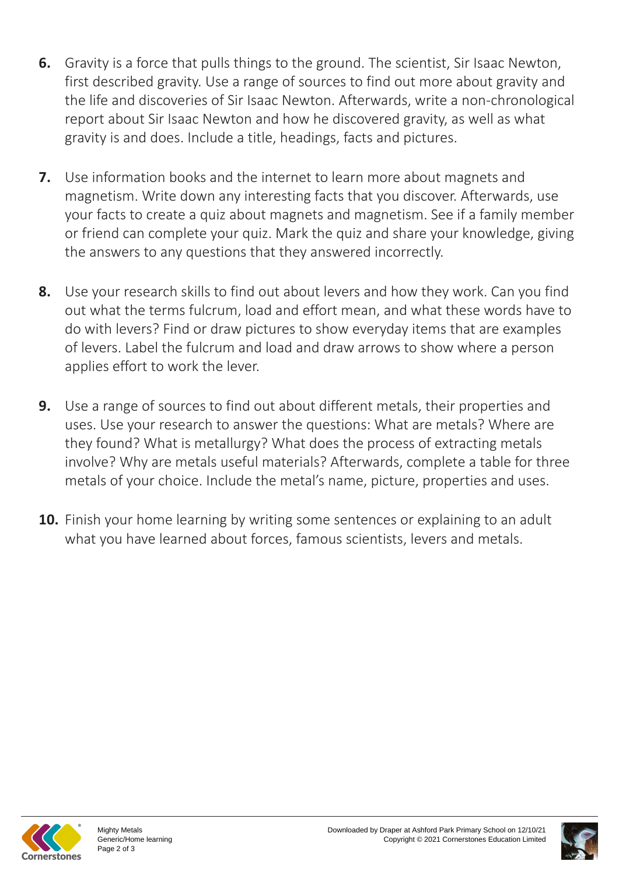- **6.** Gravity is a force that pulls things to the ground. The scientist, Sir Isaac Newton, first described gravity. Use a range of sources to find out more about gravity and the life and discoveries of Sir Isaac Newton. Afterwards, write a non-chronological report about Sir Isaac Newton and how he discovered gravity, as well as what gravity is and does. Include a title, headings, facts and pictures.
- **7.** Use information books and the internet to learn more about magnets and magnetism. Write down any interesting facts that you discover. Afterwards, use your facts to create a quiz about magnets and magnetism. See if a family member or friend can complete your quiz. Mark the quiz and share your knowledge, giving the answers to any questions that they answered incorrectly.
- **8.** Use your research skills to find out about levers and how they work. Can you find out what the terms fulcrum, load and effort mean, and what these words have to do with levers? Find or draw pictures to show everyday items that are examples of levers. Label the fulcrum and load and draw arrows to show where a person applies effort to work the lever.
- **9.** Use a range of sources to find out about different metals, their properties and uses. Use your research to answer the questions: What are metals? Where are they found? What is metallurgy? What does the process of extracting metals involve? Why are metals useful materials? Afterwards, complete a table for three metals of your choice. Include the metal's name, picture, properties and uses.
- **10.** Finish your home learning by writing some sentences or explaining to an adult what you have learned about forces, famous scientists, levers and metals.